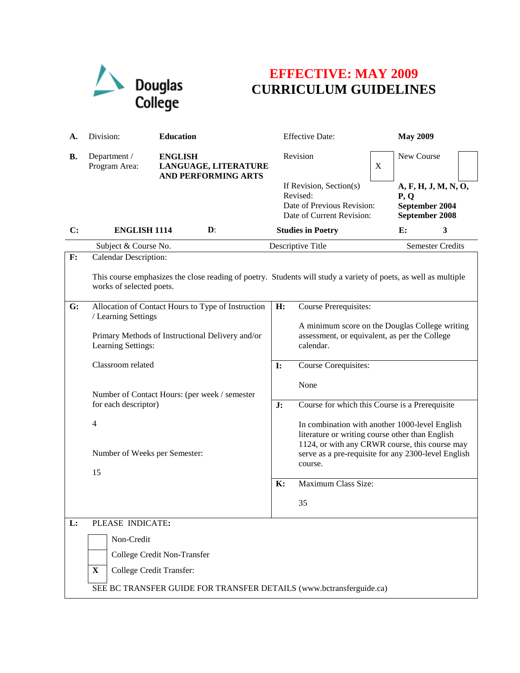

## **EFFECTIVE: MAY 2009 CURRICULUM GUIDELINES**

| А.             | <b>Education</b><br>Division:                                                                                                                                               |                                                                         |                   | <b>Effective Date:</b>                                                                                                                                                                                                |                         | <b>May 2009</b>                                                  |   |  |  |
|----------------|-----------------------------------------------------------------------------------------------------------------------------------------------------------------------------|-------------------------------------------------------------------------|-------------------|-----------------------------------------------------------------------------------------------------------------------------------------------------------------------------------------------------------------------|-------------------------|------------------------------------------------------------------|---|--|--|
| <b>B.</b>      | Department /<br>Program Area:                                                                                                                                               | <b>ENGLISH</b><br>LANGUAGE, LITERATURE<br><b>AND PERFORMING ARTS</b>    |                   | Revision                                                                                                                                                                                                              | $\boldsymbol{X}$        | New Course                                                       |   |  |  |
|                |                                                                                                                                                                             |                                                                         |                   | If Revision, Section(s)<br>Revised:<br>Date of Previous Revision:<br>Date of Current Revision:                                                                                                                        |                         | A, F, H, J, M, N, O,<br>P, Q<br>September 2004<br>September 2008 |   |  |  |
| $\mathbf{C}$ : | <b>ENGLISH 1114</b>                                                                                                                                                         | $\mathbf{D}$ :                                                          |                   | <b>Studies in Poetry</b>                                                                                                                                                                                              |                         | E:                                                               | 3 |  |  |
|                | Subject & Course No.                                                                                                                                                        |                                                                         | Descriptive Title |                                                                                                                                                                                                                       | <b>Semester Credits</b> |                                                                  |   |  |  |
| $\mathbf{F}$ : | <b>Calendar Description:</b><br>This course emphasizes the close reading of poetry. Students will study a variety of poets, as well as multiple<br>works of selected poets. |                                                                         |                   |                                                                                                                                                                                                                       |                         |                                                                  |   |  |  |
| G:             | Allocation of Contact Hours to Type of Instruction                                                                                                                          |                                                                         | H:                | Course Prerequisites:                                                                                                                                                                                                 |                         |                                                                  |   |  |  |
|                | Learning Settings:                                                                                                                                                          | / Learning Settings<br>Primary Methods of Instructional Delivery and/or |                   | A minimum score on the Douglas College writing<br>assessment, or equivalent, as per the College<br>calendar.                                                                                                          |                         |                                                                  |   |  |  |
|                | Classroom related                                                                                                                                                           |                                                                         | $\mathbf{I}$ :    | Course Corequisites:                                                                                                                                                                                                  |                         |                                                                  |   |  |  |
|                | Number of Contact Hours: (per week / semester                                                                                                                               |                                                                         | J:                | None                                                                                                                                                                                                                  |                         |                                                                  |   |  |  |
|                |                                                                                                                                                                             | for each descriptor)                                                    |                   | Course for which this Course is a Prerequisite                                                                                                                                                                        |                         |                                                                  |   |  |  |
|                | 4<br>Number of Weeks per Semester:<br>15                                                                                                                                    |                                                                         |                   | In combination with another 1000-level English<br>literature or writing course other than English<br>1124, or with any CRWR course, this course may<br>serve as a pre-requisite for any 2300-level English<br>course. |                         |                                                                  |   |  |  |
|                |                                                                                                                                                                             |                                                                         | $\mathbf{K}$ :    | Maximum Class Size:                                                                                                                                                                                                   |                         |                                                                  |   |  |  |
|                |                                                                                                                                                                             |                                                                         |                   | 35                                                                                                                                                                                                                    |                         |                                                                  |   |  |  |
| L:             | PLEASE INDICATE:                                                                                                                                                            |                                                                         |                   |                                                                                                                                                                                                                       |                         |                                                                  |   |  |  |
|                | Non-Credit                                                                                                                                                                  |                                                                         |                   |                                                                                                                                                                                                                       |                         |                                                                  |   |  |  |
|                |                                                                                                                                                                             | College Credit Non-Transfer                                             |                   |                                                                                                                                                                                                                       |                         |                                                                  |   |  |  |
|                | College Credit Transfer:<br>X                                                                                                                                               |                                                                         |                   |                                                                                                                                                                                                                       |                         |                                                                  |   |  |  |
|                | SEE BC TRANSFER GUIDE FOR TRANSFER DETAILS (www.bctransferguide.ca)                                                                                                         |                                                                         |                   |                                                                                                                                                                                                                       |                         |                                                                  |   |  |  |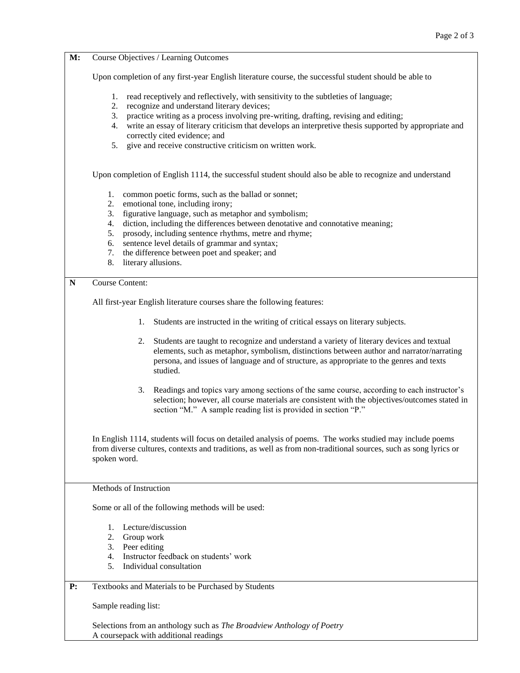| M: | Course Objectives / Learning Outcomes                                                                                                                                                                                                                                                                |  |  |  |  |
|----|------------------------------------------------------------------------------------------------------------------------------------------------------------------------------------------------------------------------------------------------------------------------------------------------------|--|--|--|--|
|    | Upon completion of any first-year English literature course, the successful student should be able to                                                                                                                                                                                                |  |  |  |  |
|    | 1.<br>read receptively and reflectively, with sensitivity to the subtleties of language;<br>recognize and understand literary devices;<br>2.                                                                                                                                                         |  |  |  |  |
|    | practice writing as a process involving pre-writing, drafting, revising and editing;<br>3.<br>write an essay of literary criticism that develops an interpretive thesis supported by appropriate and<br>4.<br>correctly cited evidence; and                                                          |  |  |  |  |
|    | give and receive constructive criticism on written work.<br>5.                                                                                                                                                                                                                                       |  |  |  |  |
|    | Upon completion of English 1114, the successful student should also be able to recognize and understand                                                                                                                                                                                              |  |  |  |  |
|    | common poetic forms, such as the ballad or sonnet;<br>1.<br>emotional tone, including irony;<br>2.                                                                                                                                                                                                   |  |  |  |  |
|    | figurative language, such as metaphor and symbolism;<br>3.                                                                                                                                                                                                                                           |  |  |  |  |
|    | diction, including the differences between denotative and connotative meaning;<br>4.                                                                                                                                                                                                                 |  |  |  |  |
|    | prosody, including sentence rhythms, metre and rhyme;<br>5.<br>sentence level details of grammar and syntax;<br>6.                                                                                                                                                                                   |  |  |  |  |
|    | the difference between poet and speaker; and<br>7.                                                                                                                                                                                                                                                   |  |  |  |  |
|    | 8.<br>literary allusions.                                                                                                                                                                                                                                                                            |  |  |  |  |
| N  | <b>Course Content:</b>                                                                                                                                                                                                                                                                               |  |  |  |  |
|    | All first-year English literature courses share the following features:                                                                                                                                                                                                                              |  |  |  |  |
|    | Students are instructed in the writing of critical essays on literary subjects.<br>1.                                                                                                                                                                                                                |  |  |  |  |
|    | Students are taught to recognize and understand a variety of literary devices and textual<br>2.<br>elements, such as metaphor, symbolism, distinctions between author and narrator/narrating<br>persona, and issues of language and of structure, as appropriate to the genres and texts<br>studied. |  |  |  |  |
|    | Readings and topics vary among sections of the same course, according to each instructor's<br>3.<br>selection; however, all course materials are consistent with the objectives/outcomes stated in<br>section "M." A sample reading list is provided in section "P."                                 |  |  |  |  |
|    | In English 1114, students will focus on detailed analysis of poems. The works studied may include poems<br>from diverse cultures, contexts and traditions, as well as from non-traditional sources, such as song lyrics or<br>spoken word.                                                           |  |  |  |  |
|    | Methods of Instruction                                                                                                                                                                                                                                                                               |  |  |  |  |
|    | Some or all of the following methods will be used:<br>Lecture/discussion<br>1.                                                                                                                                                                                                                       |  |  |  |  |
|    |                                                                                                                                                                                                                                                                                                      |  |  |  |  |
|    | 2.<br>Group work                                                                                                                                                                                                                                                                                     |  |  |  |  |
|    | 3.<br>Peer editing                                                                                                                                                                                                                                                                                   |  |  |  |  |
|    | Instructor feedback on students' work<br>4.                                                                                                                                                                                                                                                          |  |  |  |  |
|    | Individual consultation<br>5.                                                                                                                                                                                                                                                                        |  |  |  |  |
| P: | Textbooks and Materials to be Purchased by Students                                                                                                                                                                                                                                                  |  |  |  |  |
|    | Sample reading list:                                                                                                                                                                                                                                                                                 |  |  |  |  |
|    | Selections from an anthology such as The Broadview Anthology of Poetry                                                                                                                                                                                                                               |  |  |  |  |

A coursepack with additional readings